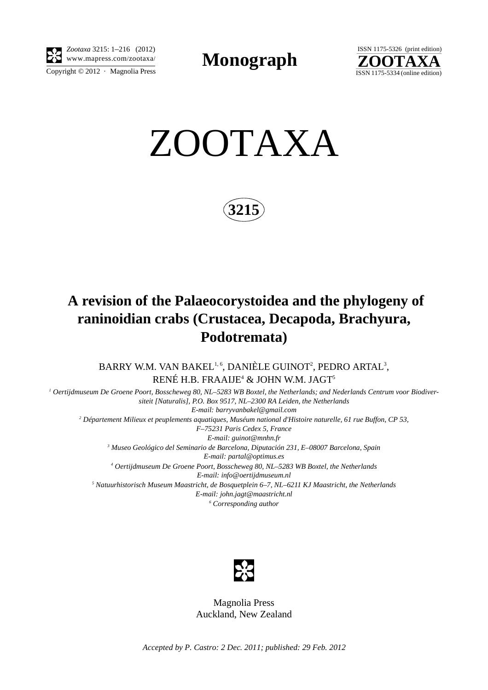

*Zootaxa* 3215: 1–216 (2012)

**Monograph** 



ZOOTAXA

**3215**

## **A revision of the Palaeocorystoidea and the phylogeny of raninoidian crabs (Crustacea, Decapoda, Brachyura, Podotremata)**

BARRY W.M. VAN BAKEL $^{1,6}$ , DANIÈLE GUINOT $^2$ , PEDRO ARTAL $^3$ , RENÉ H.B. FRAAIJE<sup>4</sup> & JOHN W.M. JAGT<sup>5</sup>

*1 Oertijdmuseum De Groene Poort, Bosscheweg 80, NL–5283 WB Boxtel, the Netherlands; and Nederlands Centrum voor Biodiversiteit [Naturalis], P.O. Box 9517, NL–2300 RA Leiden, the Netherlands E-mail: barryvanbakel@gmail.com 2 Département Milieux et peuplements aquatiques, Muséum national d'Histoire naturelle, 61 rue Buffon, CP 53, F–75231 Paris Cedex 5, France E-mail: guinot@mnhn.fr 3 Museo Geológico del Seminario de Barcelona, Diputación 231, E–08007 Barcelona, Spain*

*E-mail: partal@optimus.es* <sup>4</sup> Oertijdmuseum De Groene Poort, Bosscheweg 80, NL–5283 WB Boxtel, the Netherlands *E-mail: info@oertijdmuseum.nl 5 Natuurhistorisch Museum Maastricht, de Bosquetplein 6–7, NL–6211 KJ Maastricht, the Netherlands*

*E-mail: john.jagt@maastricht.nl 6 Corresponding author*



Magnolia Press Auckland, New Zealand

*Accepted by P. Castro: 2 Dec. 2011; published: 29 Feb. 2012*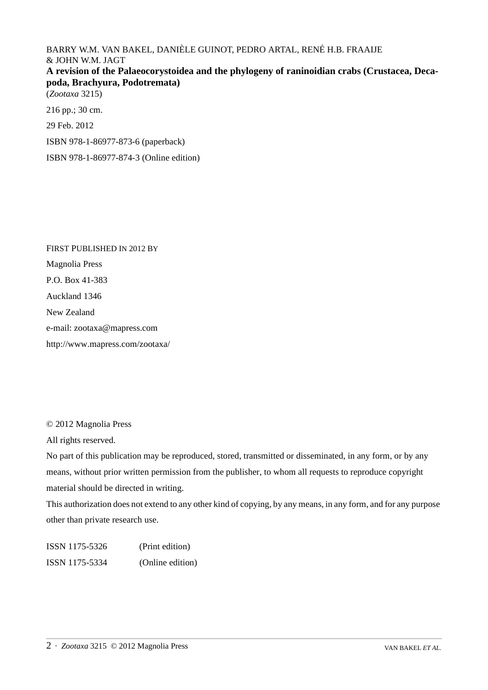BARRY W.M. VAN BAKEL, DANIÈLE GUINOT, PEDRO ARTAL, RENÉ H.B. FRAAIJE & JOHN W.M. JAGT **A revision of the Palaeocorystoidea and the phylogeny of raninoidian crabs (Crustacea, Decapoda, Brachyura, Podotremata)** (*Zootaxa* 3215)

216 pp.; 30 cm.

29 Feb. 2012

ISBN 978-1-86977-873-6 (paperback)

ISBN 978-1-86977-874-3 (Online edition)

FIRST PUBLISHED IN 2012 BY Magnolia Press P.O. Box 41-383 Auckland 1346 New Zealand e-mail: zootaxa@mapress.com http://www.mapress.com/zootaxa/

© 2012 Magnolia Press

All rights reserved.

No part of this publication may be reproduced, stored, transmitted or disseminated, in any form, or by any means, without prior written permission from the publisher, to whom all requests to reproduce copyright material should be directed in writing.

This authorization does not extend to any other kind of copying, by any means, in any form, and for any purpose other than private research use.

ISSN 1175-5326 (Print edition) ISSN 1175-5334 (Online edition)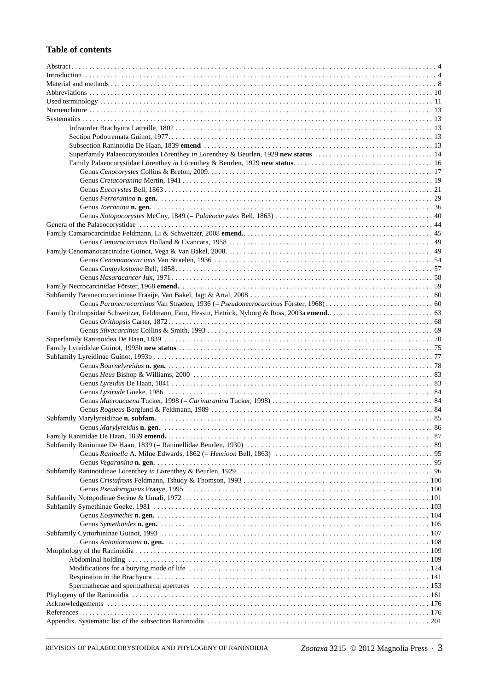## **Table of contents**